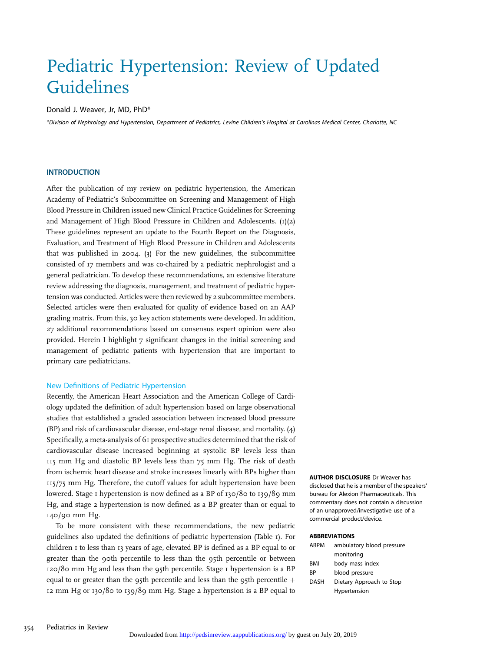# Pediatric Hypertension: Review of Updated Guidelines

#### Donald J. Weaver, Jr, MD, PhD\*

\*Division of Nephrology and Hypertension, Department of Pediatrics, Levine Children's Hospital at Carolinas Medical Center, Charlotte, NC

#### **INTRODUCTION**

After the publication of my review on pediatric hypertension, the American Academy of Pediatric's Subcommittee on Screening and Management of High Blood Pressure in Children issued new Clinical Practice Guidelines for Screening and Management of High Blood Pressure in Children and Adolescents. (1)(2) These guidelines represent an update to the Fourth Report on the Diagnosis, Evaluation, and Treatment of High Blood Pressure in Children and Adolescents that was published in 2004. (3) For the new guidelines, the subcommittee consisted of 17 members and was co-chaired by a pediatric nephrologist and a general pediatrician. To develop these recommendations, an extensive literature review addressing the diagnosis, management, and treatment of pediatric hypertension was conducted. Articles were then reviewed by 2 subcommittee members. Selected articles were then evaluated for quality of evidence based on an AAP grading matrix. From this, 30 key action statements were developed. In addition, 27 additional recommendations based on consensus expert opinion were also provided. Herein I highlight 7 significant changes in the initial screening and management of pediatric patients with hypertension that are important to primary care pediatricians.

#### New Definitions of Pediatric Hypertension

Recently, the American Heart Association and the American College of Cardiology updated the definition of adult hypertension based on large observational studies that established a graded association between increased blood pressure (BP) and risk of cardiovascular disease, end-stage renal disease, and mortality. (4) Specifically, a meta-analysis of 61 prospective studies determined that the risk of cardiovascular disease increased beginning at systolic BP levels less than 115 mm Hg and diastolic BP levels less than 75 mm Hg. The risk of death from ischemic heart disease and stroke increases linearly with BPs higher than 115/75 mm Hg. Therefore, the cutoff values for adult hypertension have been lowered. Stage 1 hypertension is now defined as a BP of 130/80 to 139/89 mm Hg, and stage 2 hypertension is now defined as a BP greater than or equal to 140/90 mm Hg.

To be more consistent with these recommendations, the new pediatric guidelines also updated the definitions of pediatric hypertension (Table 1). For children 1 to less than 13 years of age, elevated BP is defined as a BP equal to or greater than the 90th percentile to less than the 95th percentile or between 120/80 mm Hg and less than the 95th percentile. Stage 1 hypertension is a BP equal to or greater than the 95th percentile and less than the 95th percentile  $+$ 12 mm Hg or 130/80 to 139/89 mm Hg. Stage 2 hypertension is a BP equal to

**AUTHOR DISCLOSURE Dr Weaver has** disclosed that he is a member of the speakers' bureau for Alexion Pharmaceuticals. This commentary does not contain a discussion of an unapproved/investigative use of a commercial product/device.

#### **ABBREVIATIONS**

| <b>ABPM</b> | ambulatory blood pressure |
|-------------|---------------------------|
|             | monitoring                |
| <b>BMI</b>  | body mass index           |
| <b>RP</b>   | blood pressure            |
| DASH        | Dietary Approach to Stop  |
|             | Hypertension              |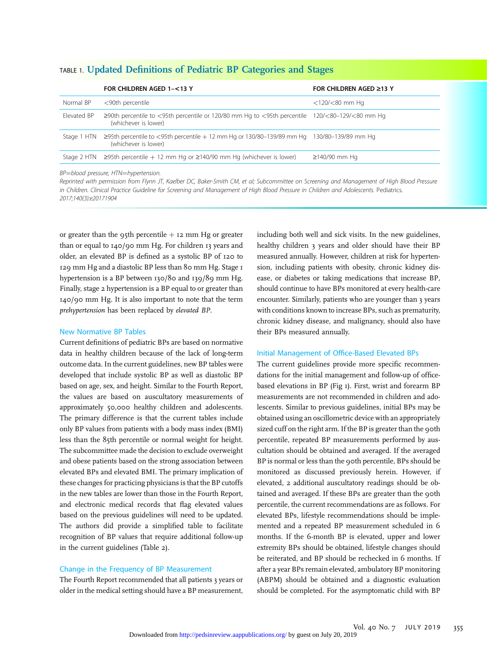| <90th percentile                                                                                                                                   | $<$ 120/ $<$ 80 mm Hg |
|----------------------------------------------------------------------------------------------------------------------------------------------------|-----------------------|
|                                                                                                                                                    |                       |
| $\geq$ 90th percentile to $\lt$ 95th percentile or 120/80 mm Hg to $\lt$ 95th percentile 120/ $\lt$ 80-129/ $\lt$ 80 mm Hg<br>(whichever is lower) |                       |
| $\geq$ 95th percentile to $\lt$ 95th percentile + 12 mm Hg or 130/80–139/89 mm Hg 130/80–139/89 mm Hg<br>(whichever is lower)                      |                       |
| $\geq$ 95th percentile + 12 mm Hg or $\geq$ 140/90 mm Hg (whichever is lower)                                                                      | $≥140/90$ mm Hq       |
|                                                                                                                                                    |                       |

## TABLE 1. Updated Definitions of Pediatric BP Categories and Stages

BP=blood pressure, HTN=hypertension.

Reprinted with permission from Flynn JT, Kaelber DC, Baker-Smith CM, et al; Subcommittee on Screening and Management of High Blood Pressure in Children. Clinical Practice Guideline for Screening and Management of High Blood Pressure in Children and Adolescents. Pediatrics. 2017;140(3):e20171904

or greater than the 95th percentile  $+$  12 mm Hg or greater than or equal to 140/90 mm Hg. For children 13 years and older, an elevated BP is defined as a systolic BP of 120 to 129 mm Hg and a diastolic BP less than 80 mm Hg. Stage 1 hypertension is a BP between 130/80 and 139/89 mm Hg. Finally, stage 2 hypertension is a BP equal to or greater than 140/90 mm Hg. It is also important to note that the term prehypertension has been replaced by elevated BP.

#### New Normative BP Tables

Current definitions of pediatric BPs are based on normative data in healthy children because of the lack of long-term outcome data. In the current guidelines, new BP tables were developed that include systolic BP as well as diastolic BP based on age, sex, and height. Similar to the Fourth Report, the values are based on auscultatory measurements of approximately 50,000 healthy children and adolescents. The primary difference is that the current tables include only BP values from patients with a body mass index (BMI) less than the 85th percentile or normal weight for height. The subcommittee made the decision to exclude overweight and obese patients based on the strong association between elevated BPs and elevated BMI. The primary implication of these changes for practicing physicians is that the BP cutoffs in the new tables are lower than those in the Fourth Report, and electronic medical records that flag elevated values based on the previous guidelines will need to be updated. The authors did provide a simplified table to facilitate recognition of BP values that require additional follow-up in the current guidelines (Table 2).

#### Change in the Frequency of BP Measurement

The Fourth Report recommended that all patients 3 years or older in the medical setting should have a BP measurement, including both well and sick visits. In the new guidelines, healthy children 3 years and older should have their BP measured annually. However, children at risk for hypertension, including patients with obesity, chronic kidney disease, or diabetes or taking medications that increase BP, should continue to have BPs monitored at every health-care encounter. Similarly, patients who are younger than 3 years with conditions known to increase BPs, such as prematurity, chronic kidney disease, and malignancy, should also have their BPs measured annually.

#### Initial Management of Office-Based Elevated BPs

The current guidelines provide more specific recommendations for the initial management and follow-up of officebased elevations in BP (Fig 1). First, wrist and forearm BP measurements are not recommended in children and adolescents. Similar to previous guidelines, initial BPs may be obtained using an oscillometric device with an appropriately sized cuff on the right arm. If the BP is greater than the 90th percentile, repeated BP measurements performed by auscultation should be obtained and averaged. If the averaged BP is normal or less than the 90th percentile, BPs should be monitored as discussed previously herein. However, if elevated, 2 additional auscultatory readings should be obtained and averaged. If these BPs are greater than the 90th percentile, the current recommendations are as follows. For elevated BPs, lifestyle recommendations should be implemented and a repeated BP measurement scheduled in 6 months. If the 6-month BP is elevated, upper and lower extremity BPs should be obtained, lifestyle changes should be reiterated, and BP should be rechecked in 6 months. If after a year BPs remain elevated, ambulatory BP monitoring (ABPM) should be obtained and a diagnostic evaluation should be completed. For the asymptomatic child with BP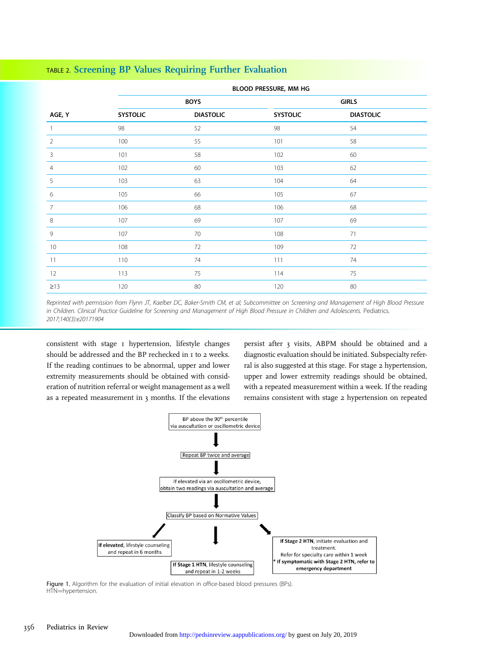## TABLE 2. Screening BP Values Requiring Further Evaluation

| <b>BOYS</b>     |                  | <b>GIRLS</b>    |                  |  |
|-----------------|------------------|-----------------|------------------|--|
| <b>SYSTOLIC</b> | <b>DIASTOLIC</b> | <b>SYSTOLIC</b> | <b>DIASTOLIC</b> |  |
| 98              | 52               | 98              | 54               |  |
| 100             | 55               | 101             | 58               |  |
| 101             | 58               | 102             | 60               |  |
| 102             | 60               | 103             | 62               |  |
| 103             | 63               | 104             | 64               |  |
| 105             | 66               | 105             | 67               |  |
| 106             | 68               | 106             | 68               |  |
| 107             | 69               | 107             | 69               |  |
| 107             | 70               | 108             | 71               |  |
| 108             | 72               | 109             | 72               |  |
| 110             | 74               | 111             | 74               |  |
| 113             | 75               | 114             | 75               |  |
| 120             | 80               | 120             | 80               |  |
|                 |                  |                 |                  |  |

BLOOD PRESSURE, MM HG

consistent with stage 1 hypertension, lifestyle changes should be addressed and the BP rechecked in 1 to 2 weeks. If the reading continues to be abnormal, upper and lower extremity measurements should be obtained with consideration of nutrition referral or weight management as a well as a repeated measurement in 3 months. If the elevations persist after 3 visits, ABPM should be obtained and a diagnostic evaluation should be initiated. Subspecialty referral is also suggested at this stage. For stage 2 hypertension, upper and lower extremity readings should be obtained, with a repeated measurement within a week. If the reading remains consistent with stage 2 hypertension on repeated



Figure 1. Algorithm for the evaluation of initial elevation in office-based blood pressures (BPs). HTN=hypertension.

Reprinted with permission from Flynn JT, Kaelber DC, Baker-Smith CM, et al; Subcommittee on Screening and Management of High Blood Pressure in Children. Clinical Practice Guideline for Screening and Management of High Blood Pressure in Children and Adolescents. Pediatrics. 2017;140(3):e20171904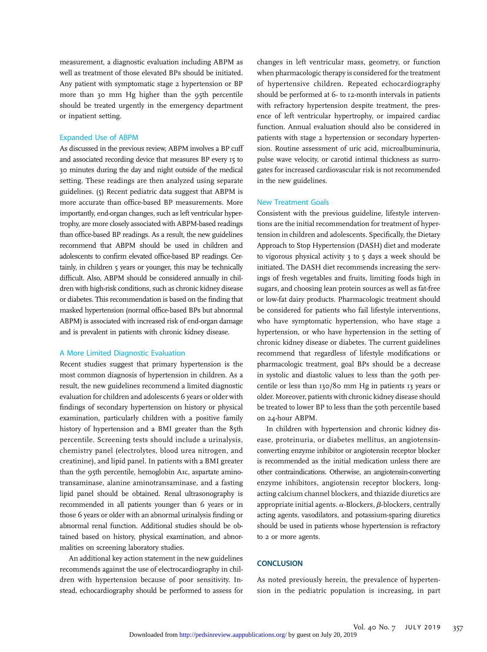measurement, a diagnostic evaluation including ABPM as well as treatment of those elevated BPs should be initiated. Any patient with symptomatic stage 2 hypertension or BP more than 30 mm Hg higher than the 95th percentile should be treated urgently in the emergency department or inpatient setting.

#### Expanded Use of ABPM

As discussed in the previous review, ABPM involves a BP cuff and associated recording device that measures BP every 15 to 30 minutes during the day and night outside of the medical setting. These readings are then analyzed using separate guidelines. (5) Recent pediatric data suggest that ABPM is more accurate than office-based BP measurements. More importantly, end-organ changes, such as left ventricular hypertrophy, are more closely associated with ABPM-based readings than office-based BP readings. As a result, the new guidelines recommend that ABPM should be used in children and adolescents to confirm elevated office-based BP readings. Certainly, in children 5 years or younger, this may be technically difficult. Also, ABPM should be considered annually in children with high-risk conditions, such as chronic kidney disease or diabetes. This recommendation is based on the finding that masked hypertension (normal office-based BPs but abnormal ABPM) is associated with increased risk of end-organ damage and is prevalent in patients with chronic kidney disease.

#### A More Limited Diagnostic Evaluation

Recent studies suggest that primary hypertension is the most common diagnosis of hypertension in children. As a result, the new guidelines recommend a limited diagnostic evaluation for children and adolescents 6 years or older with findings of secondary hypertension on history or physical examination, particularly children with a positive family history of hypertension and a BMI greater than the 85th percentile. Screening tests should include a urinalysis, chemistry panel (electrolytes, blood urea nitrogen, and creatinine), and lipid panel. In patients with a BMI greater than the 95th percentile, hemoglobin A1c, aspartate aminotransaminase, alanine aminotransaminase, and a fasting lipid panel should be obtained. Renal ultrasonography is recommended in all patients younger than 6 years or in those 6 years or older with an abnormal urinalysis finding or abnormal renal function. Additional studies should be obtained based on history, physical examination, and abnormalities on screening laboratory studies.

An additional key action statement in the new guidelines recommends against the use of electrocardiography in children with hypertension because of poor sensitivity. Instead, echocardiography should be performed to assess for changes in left ventricular mass, geometry, or function when pharmacologic therapy is considered for the treatment of hypertensive children. Repeated echocardiography should be performed at 6- to 12-month intervals in patients with refractory hypertension despite treatment, the presence of left ventricular hypertrophy, or impaired cardiac function. Annual evaluation should also be considered in patients with stage 2 hypertension or secondary hypertension. Routine assessment of uric acid, microalbuminuria, pulse wave velocity, or carotid intimal thickness as surrogates for increased cardiovascular risk is not recommended in the new guidelines.

#### New Treatment Goals

Consistent with the previous guideline, lifestyle interventions are the initial recommendation for treatment of hypertension in children and adolescents. Specifically, the Dietary Approach to Stop Hypertension (DASH) diet and moderate to vigorous physical activity  $3$  to  $5$  days a week should be initiated. The DASH diet recommends increasing the servings of fresh vegetables and fruits, limiting foods high in sugars, and choosing lean protein sources as well as fat-free or low-fat dairy products. Pharmacologic treatment should be considered for patients who fail lifestyle interventions, who have symptomatic hypertension, who have stage 2 hypertension, or who have hypertension in the setting of chronic kidney disease or diabetes. The current guidelines recommend that regardless of lifestyle modifications or pharmacologic treatment, goal BPs should be a decrease in systolic and diastolic values to less than the 90th percentile or less than 130/80 mm Hg in patients 13 years or older. Moreover, patients with chronic kidney disease should be treated to lower BP to less than the 50th percentile based on 24-hour ABPM.

In children with hypertension and chronic kidney disease, proteinuria, or diabetes mellitus, an angiotensinconverting enzyme inhibitor or angiotensin receptor blocker is recommended as the initial medication unless there are other contraindications. Otherwise, an angiotensin-converting enzyme inhibitors, angiotensin receptor blockers, longacting calcium channel blockers, and thiazide diuretics are appropriate initial agents.  $\alpha$ -Blockers,  $\beta$ -blockers, centrally acting agents, vasodilators, and potassium-sparing diuretics should be used in patients whose hypertension is refractory to 2 or more agents.

### **CONCLUSION**

As noted previously herein, the prevalence of hypertension in the pediatric population is increasing, in part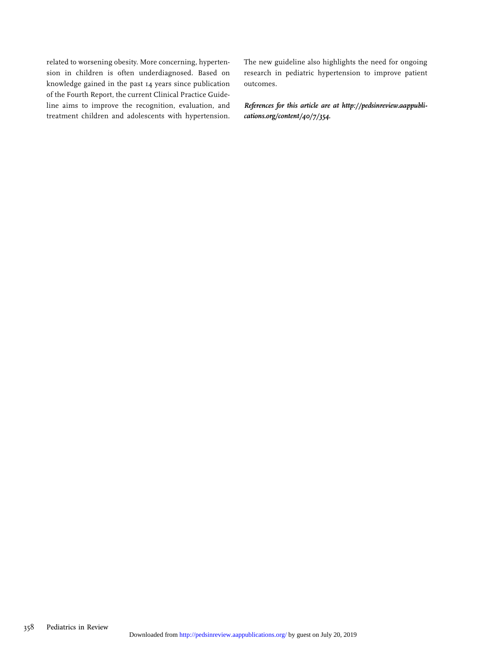related to worsening obesity. More concerning, hypertension in children is often underdiagnosed. Based on knowledge gained in the past 14 years since publication of the Fourth Report, the current Clinical Practice Guideline aims to improve the recognition, evaluation, and treatment children and adolescents with hypertension. The new guideline also highlights the need for ongoing research in pediatric hypertension to improve patient outcomes.

References for this article are at [http://pedsinreview.aappubli](http://pedsinreview.aappublications.org/content/40/7/354)[cations.org/content/40/7/354](http://pedsinreview.aappublications.org/content/40/7/354).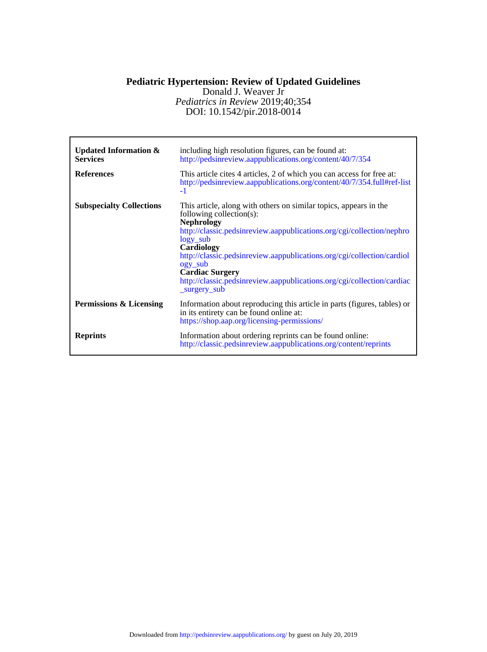## DOI: 10.1542/pir.2018-0014 *Pediatrics in Review* 2019;40;354 Donald J. Weaver Jr **Pediatric Hypertension: Review of Updated Guidelines**

| Updated Information $\&$<br><b>Services</b> | including high resolution figures, can be found at:<br>http://pedsinreview.aappublications.org/content/40/7/354                                                                                                                                                                                                                                                                                                                   |
|---------------------------------------------|-----------------------------------------------------------------------------------------------------------------------------------------------------------------------------------------------------------------------------------------------------------------------------------------------------------------------------------------------------------------------------------------------------------------------------------|
| <b>References</b>                           | This article cites 4 articles, 2 of which you can access for free at:<br>http://pedsinreview.aappublications.org/content/40/7/354.full#ref-list<br>$-1$                                                                                                                                                                                                                                                                           |
| <b>Subspecialty Collections</b>             | This article, along with others on similar topics, appears in the<br>following collection(s):<br><b>Nephrology</b><br>http://classic.pedsinreview.aappublications.org/cgi/collection/nephro<br>$logy$ _sub<br>Cardiology<br>http://classic.pedsinreview.aappublications.org/cgi/collection/cardiol<br>ogy sub<br><b>Cardiac Surgery</b><br>http://classic.pedsinreview.aappublications.org/cgi/collection/cardiac<br>_surgery_sub |
| Permissions & Licensing                     | Information about reproducing this article in parts (figures, tables) or<br>in its entirety can be found online at:<br>https://shop.aap.org/licensing-permissions/                                                                                                                                                                                                                                                                |
| <b>Reprints</b>                             | Information about ordering reprints can be found online:<br>http://classic.pedsinreview.aappublications.org/content/reprints                                                                                                                                                                                                                                                                                                      |